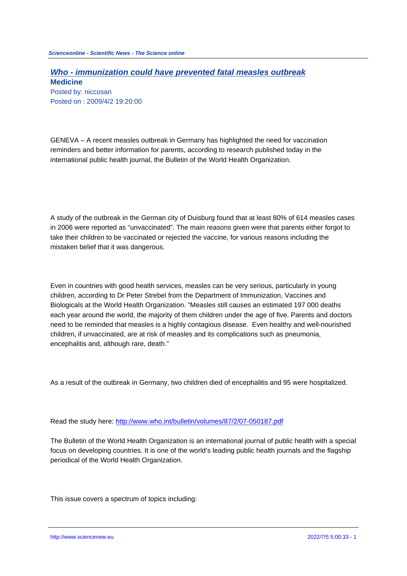## **Who - immunization could have prevented fatal measles outbreak Medicine**

Posted by: niccosan Posted on : 2009/4/2 19:20:00

GENEVA – A recent measles outbreak in Germany has highlighted the need for vaccination reminders and better information for parents, according to research published today in the international public health journal, the Bulletin of the World Health Organization.

A study of the outbreak in the German city of Duisburg found that at least 80% of 614 measles cases in 2006 were reported as "unvaccinated". The main reasons given were that parents either forgot to take their children to be vaccinated or rejected the vaccine, for various reasons including the mistaken belief that it was dangerous.

Even in countries with good health services, measles can be very serious, particularly in young children, according to Dr Peter Strebel from the Department of Immunization, Vaccines and Biologicals at the World Health Organization. "Measles still causes an estimated 197 000 deaths each year around the world, the majority of them children under the age of five. Parents and doctors need to be reminded that measles is a highly contagious disease. Even healthy and well-nourished children, if unvaccinated, are at risk of measles and its complications such as pneumonia, encephalitis and, although rare, death."

As a result of the outbreak in Germany, two children died of encephalitis and 95 were hospitalized.

Read the study here: http://www.who.int/bulletin/volumes/87/2/07-050187.pdf

The Bulletin of the World Health Organization is an international journal of public health with a special focus on developing [countries. It is one of the world's leading public health jou](http://www.who.int/bulletin/volumes/87/2/07-050187.pdf)rnals and the flagship periodical of the World Health Organization.

This issue covers a spectrum of topics including:

http://www.sciencenew.eu 2022/7/5 5:00:33 - 1